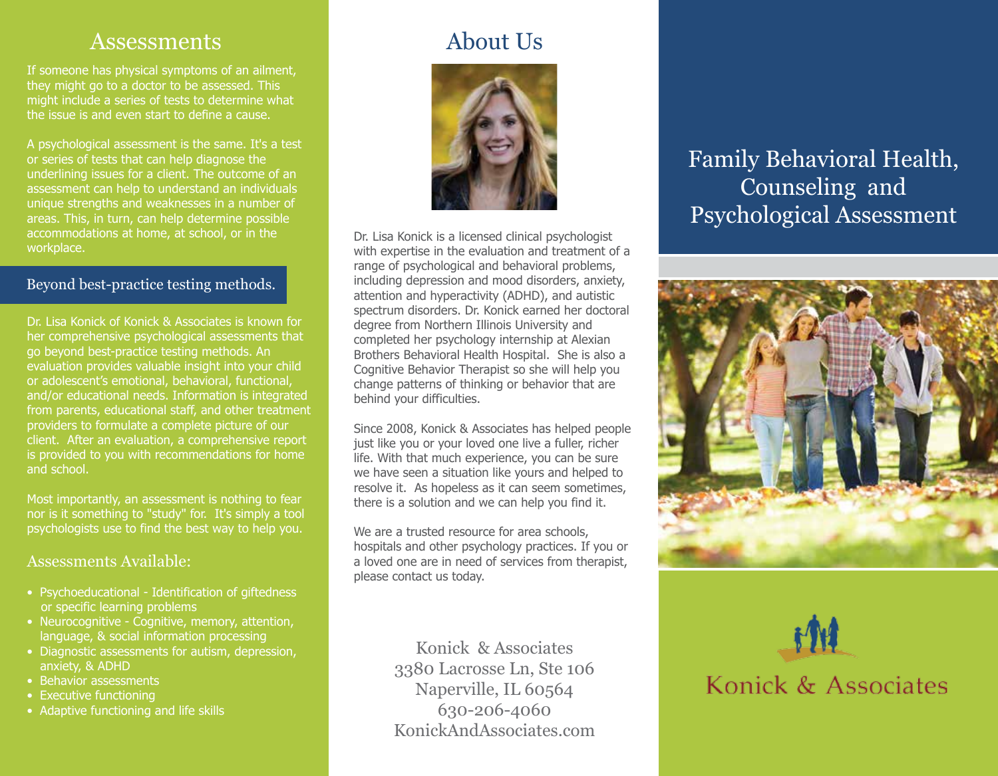### Assessments

If someone has physical symptoms of an ailment, they might go to a doctor to be assessed. This might include a series of tests to determine what the issue is and even start to define a cause.

A psychological assessment is the same. It's a test or series of tests that can help diagnose the underlining issues for a client. The outcome of an assessment can help to understand an individuals unique strengths and weaknesses in a number of areas. This, in turn, can help determine possible accommodations at home, at school, or in the workplace.

#### Beyond best-practice testing methods.

Dr. Lisa Konick of Konick & Associates is known for her comprehensive psychological assessments that go beyond best-practice testing methods. An evaluation provides valuable insight into your child or adolescent's emotional, behavioral, functional, and/or educational needs. Information is integrated from parents, educational staff, and other treatment providers to formulate a complete picture of our client. After an evaluation, a comprehensive report is provided to you with recommendations for home and school.

Most importantly, an assessment is nothing to fear nor is it something to "study" for. It's simply a tool psychologists use to find the best way to help you.

### Assessments Available:

- Psychoeducational Identification of giftedness or specific learning problems
- Neurocognitive Cognitive, memory, attention, language, & social information processing
- Diagnostic assessments for autism, depression, anxiety, & ADHD
- Behavior assessments
- Executive functioning
- Adaptive functioning and life skills

# About Us



Dr. Lisa Konick is a licensed clinical psychologist with expertise in the evaluation and treatment of a range of psychological and behavioral problems, including depression and mood disorders, anxiety, attention and hyperactivity (ADHD), and autistic spectrum disorders. Dr. Konick earned her doctoral degree from Northern Illinois University and completed her psychology internship at Alexian Brothers Behavioral Health Hospital. She is also a Cognitive Behavior Therapist so she will help you change patterns of thinking or behavior that are behind your difficulties.

Since 2008, Konick & Associates has helped people just like you or your loved one live a fuller, richer life. With that much experience, you can be sure we have seen a situation like yours and helped to resolve it. As hopeless as it can seem sometimes, there is a solution and we can help you find it.

We are a trusted resource for area schools, hospitals and other psychology practices. If you or a loved one are in need of services from therapist, please contact us today.

> Konick & Associates 3380 Lacrosse Ln, Ste 106 Naperville, IL 60564 630-206-4060 KonickAndAssociates.com

Family Behavioral Health, Counseling and Psychological Assessment





# Konick & Associates